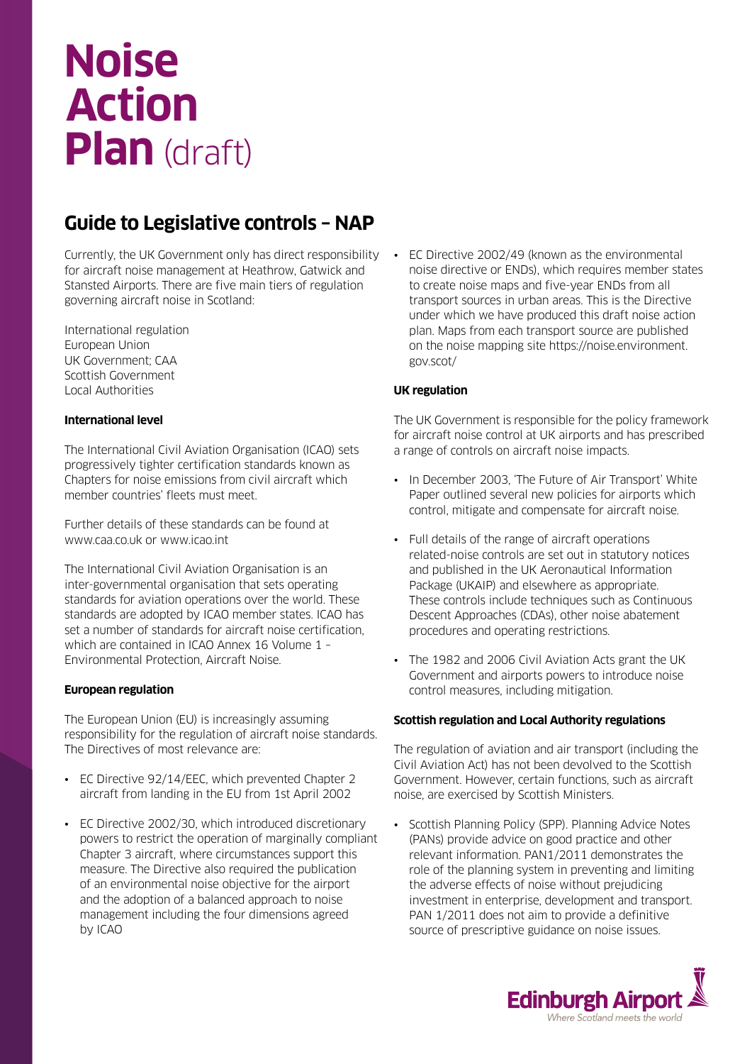# **Noise Action Plan** (draft)

### **Guide to Legislative controls – NAP**

Currently, the UK Government only has direct responsibility for aircraft noise management at Heathrow, Gatwick and Stansted Airports. There are five main tiers of regulation governing aircraft noise in Scotland:

International regulation European Union UK Government; CAA Scottish Government Local Authorities

#### **International level**

The International Civil Aviation Organisation (ICAO) sets progressively tighter certification standards known as Chapters for noise emissions from civil aircraft which member countries' fleets must meet.

Further details of these standards can be found at www.caa.co.uk or www.icao.int

The International Civil Aviation Organisation is an inter-governmental organisation that sets operating standards for aviation operations over the world. These standards are adopted by ICAO member states. ICAO has set a number of standards for aircraft noise certification, which are contained in ICAO Annex 16 Volume 1 – Environmental Protection, Aircraft Noise.

### **European regulation**

The European Union (EU) is increasingly assuming responsibility for the regulation of aircraft noise standards. The Directives of most relevance are:

- EC Directive 92/14/EEC, which prevented Chapter 2 aircraft from landing in the EU from 1st April 2002
- EC Directive 2002/30, which introduced discretionary powers to restrict the operation of marginally compliant Chapter 3 aircraft, where circumstances support this measure. The Directive also required the publication of an environmental noise objective for the airport and the adoption of a balanced approach to noise management including the four dimensions agreed by ICAO

EC Directive 2002/49 (known as the environmental noise directive or ENDs), which requires member states to create noise maps and five-year ENDs from all transport sources in urban areas. This is the Directive under which we have produced this draft noise action plan. Maps from each transport source are published on the noise mapping site https://noise.environment. gov.scot/

#### **UK regulation**

The UK Government is responsible for the policy framework for aircraft noise control at UK airports and has prescribed a range of controls on aircraft noise impacts.

- In December 2003, 'The Future of Air Transport' White Paper outlined several new policies for airports which control, mitigate and compensate for aircraft noise.
- Full details of the range of aircraft operations related-noise controls are set out in statutory notices and published in the UK Aeronautical Information Package (UKAIP) and elsewhere as appropriate. These controls include techniques such as Continuous Descent Approaches (CDAs), other noise abatement procedures and operating restrictions.
- The 1982 and 2006 Civil Aviation Acts grant the UK Government and airports powers to introduce noise control measures, including mitigation.

#### **Scottish regulation and Local Authority regulations**

The regulation of aviation and air transport (including the Civil Aviation Act) has not been devolved to the Scottish Government. However, certain functions, such as aircraft noise, are exercised by Scottish Ministers.

• Scottish Planning Policy (SPP). Planning Advice Notes (PANs) provide advice on good practice and other relevant information. PAN1/2011 demonstrates the role of the planning system in preventing and limiting the adverse effects of noise without prejudicing investment in enterprise, development and transport. PAN 1/2011 does not aim to provide a definitive source of prescriptive guidance on noise issues.